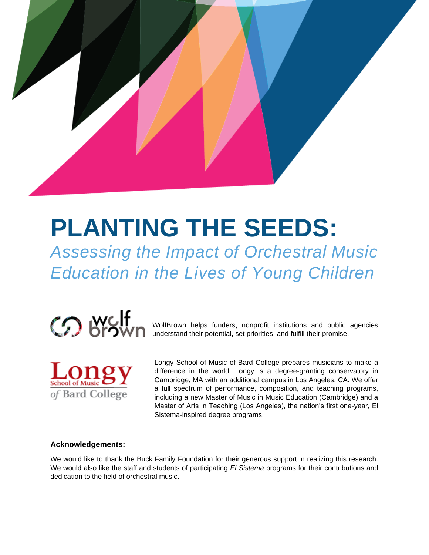

# **PLANTING THE SEEDS:**

*Assessing the Impact of Orchestral Music Education in the Lives of Young Children*



WolfBrown helps funders, nonprofit institutions and public agencies understand their potential, set priorities, and fulfill their promise.



Longy School of Music of Bard College prepares musicians to make a difference in the world. Longy is a degree-granting conservatory in Cambridge, MA with an additional campus in Los Angeles, CA. We offer a full spectrum of performance, composition, and teaching programs, including a new Master of Music in Music Education (Cambridge) and a Master of Arts in Teaching (Los Angeles), the nation's first one-year, El Sistema-inspired degree programs.

### **Acknowledgements:**

We would like to thank the Buck Family Foundation for their generous support in realizing this research. We would also like the staff and students of participating *El Sistema* programs for their contributions and dedication to the field of orchestral music.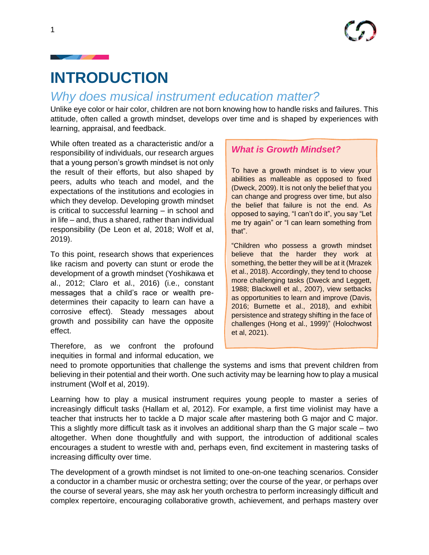## **INTRODUCTION**

## *Why does musical instrument education matter?*

Unlike eye color or hair color, children are not born knowing how to handle risks and failures. This attitude, often called a growth mindset, develops over time and is shaped by experiences with learning, appraisal, and feedback.

While often treated as a characteristic and/or a responsibility of individuals, our research argues that a young person's growth mindset is not only the result of their efforts, but also shaped by peers, adults who teach and model, and the expectations of the institutions and ecologies in which they develop. Developing growth mindset is critical to successful learning – in school and in life – and, thus a shared, rather than individual responsibility (De Leon et al, 2018; Wolf et al, 2019).

To this point, research shows that experiences like racism and poverty can stunt or erode the development of a growth mindset (Yoshikawa et al., 2012; Claro et al., 2016) (i.e., constant messages that a child's race or wealth predetermines their capacity to learn can have a corrosive effect). Steady messages about growth and possibility can have the opposite effect.

Therefore, as we confront the profound inequities in formal and informal education, we

## *What is Growth Mindset?*

To have a growth mindset is to view your abilities as malleable as opposed to fixed (Dweck, 2009). It is not only the belief that you can change and progress over time, but also the belief that failure is not the end. As opposed to saying, "I can't do it", you say "Let me try again" or "I can learn something from that".

"Children who possess a growth mindset believe that the harder they work at something, the better they will be at it (Mrazek et al., 2018). Accordingly, they tend to choose more challenging tasks (Dweck and Leggett, 1988; Blackwell et al., 2007), view setbacks as opportunities to learn and improve (Davis, 2016; Burnette et al., 2018), and exhibit persistence and strategy shifting in the face of challenges (Hong et al., 1999)" (Holochwost et al, 2021).

need to promote opportunities that challenge the systems and isms that prevent children from believing in their potential and their worth. One such activity may be learning how to play a musical instrument (Wolf et al, 2019).

Learning how to play a musical instrument requires young people to master a series of increasingly difficult tasks (Hallam et al, 2012). For example, a first time violinist may have a teacher that instructs her to tackle a D major scale after mastering both G major and C major. This a slightly more difficult task as it involves an additional sharp than the G major scale – two altogether. When done thoughtfully and with support, the introduction of additional scales encourages a student to wrestle with and, perhaps even, find excitement in mastering tasks of increasing difficulty over time.

The development of a growth mindset is not limited to one-on-one teaching scenarios. Consider a conductor in a chamber music or orchestra setting; over the course of the year, or perhaps over the course of several years, she may ask her youth orchestra to perform increasingly difficult and complex repertoire, encouraging collaborative growth, achievement, and perhaps mastery over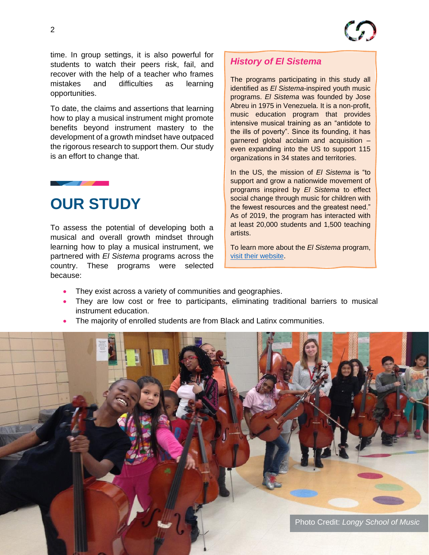time. In group settings, it is also powerful for students to watch their peers risk, fail, and recover with the help of a teacher who frames mistakes and difficulties as learning opportunities.

To date, the claims and assertions that learning how to play a musical instrument might promote benefits beyond instrument mastery to the development of a growth mindset have outpaced the rigorous research to support them. Our study is an effort to change that.

## **OUR STUDY**

To assess the potential of developing both a musical and overall growth mindset through learning how to play a musical instrument, we partnered with *El Sistema* programs across the country. These programs were selected because:

## *History of El Sistema*

The programs participating in this study all identified as *El Sistema*-inspired youth music programs. *El Sistema* was founded by Jose Abreu in 1975 in Venezuela. It is a non-profit, music education program that provides intensive musical training as an "antidote to the ills of poverty". Since its founding, it has garnered global acclaim and acquisition – even expanding into the US to support 115 organizations in 34 states and territories.

In the US, the mission of *El Sistema* is "to support and grow a nationwide movement of programs inspired by *El Sistema* to effect social change through music for children with the fewest resources and the greatest need." As of 2019, the program has interacted with at least 20,000 students and 1,500 teaching artists.

To learn more about the *El Sistema* program, [visit their website.](https://elsistemausa.org/)

- They exist across a variety of communities and geographies.
- They are low cost or free to participants, eliminating traditional barriers to musical instrument education.
- The majority of enrolled students are from Black and Latinx communities.

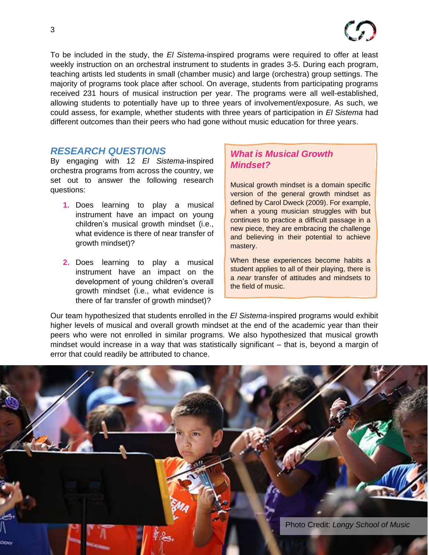To be included in the study, the *El Sistema*-inspired programs were required to offer at least weekly instruction on an orchestral instrument to students in grades 3-5. During each program, teaching artists led students in small (chamber music) and large (orchestra) group settings. The majority of programs took place after school. On average, students from participating programs received 231 hours of musical instruction per year. The programs were all well-established, allowing students to potentially have up to three years of involvement/exposure. As such, we could assess, for example, whether students with three years of participation in *El Sistema* had different outcomes than their peers who had gone without music education for three years.

### *RESEARCH QUESTIONS*

By engaging with 12 *El Sistema*-inspired orchestra programs from across the country, we set out to answer the following research questions:

- **1.** Does learning to play a musical instrument have an impact on young children's musical growth mindset (i.e., what evidence is there of near transfer of growth mindset)?
- **2.** Does learning to play a musical instrument have an impact on the development of young children's overall growth mindset (i.e., what evidence is there of far transfer of growth mindset)?

## *What is Musical Growth Mindset?*

Musical growth mindset is a domain specific version of the general growth mindset as defined by Carol Dweck (2009). For example, when a young musician struggles with but continues to practice a difficult passage in a new piece, they are embracing the challenge and believing in their potential to achieve mastery.

When these experiences become habits a student applies to all of their playing, there is a *near* transfer of attitudes and mindsets to the field of music.

Our team hypothesized that students enrolled in the *El Sistema*-inspired programs would exhibit higher levels of musical and overall growth mindset at the end of the academic year than their peers who were not enrolled in similar programs. We also hypothesized that musical growth mindset would increase in a way that was statistically significant – that is, beyond a margin of error that could readily be attributed to chance.

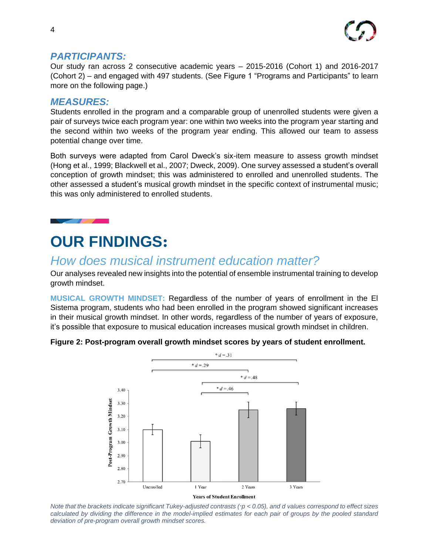

### *PARTICIPANTS:*

Our study ran across 2 consecutive academic years – 2015-2016 (Cohort 1) and 2016-2017 (Cohort 2) – and engaged with 497 students. (See Figure 1 "Programs and Participants" to learn more on the following page.)

### *MEASURES:*

Students enrolled in the program and a comparable group of unenrolled students were given a pair of surveys twice each program year: one within two weeks into the program year starting and the second within two weeks of the program year ending. This allowed our team to assess potential change over time.

Both surveys were adapted from Carol Dweck's six-item measure to assess growth mindset (Hong et al., 1999; Blackwell et al., 2007; Dweck, 2009). One survey assessed a student's overall conception of growth mindset; this was administered to enrolled and unenrolled students. The other assessed a student's musical growth mindset in the specific context of instrumental music; this was only administered to enrolled students.

## **OUR FINDINGS:**

## *How does musical instrument education matter?*

Our analyses revealed new insights into the potential of ensemble instrumental training to develop growth mindset.

**MUSICAL GROWTH MINDSET:** Regardless of the number of years of enrollment in the El Sistema program, students who had been enrolled in the program showed significant increases in their musical growth mindset. In other words, regardless of the number of years of exposure, it's possible that exposure to musical education increases musical growth mindset in children.





*Note that the brackets indicate significant Tukey-adjusted contrasts (*∗*p < 0.05), and d values correspond to effect sizes calculated by dividing the difference in the model-implied estimates for each pair of groups by the pooled standard deviation of pre-program overall growth mindset scores.*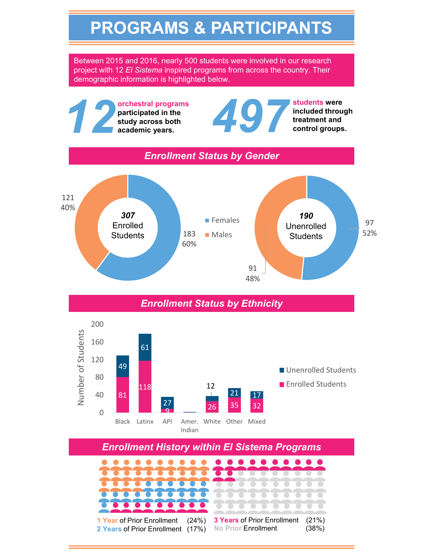## **PROGRAMS & PARTICIPANTS**

Between 2015 and 2016, nearly 500 students were involved in our research project with 12 *El Sistema* inspired programs from across the country. Their demographic information is highlighted below.

**academic years.**<br> **academic years.**<br> **academic years.**<br> **academic years.**<br> **academic years.**<br> **academic years.**<br> **academic years.**<br> **academic years.**<br> **academic years.**<br> **academic years. 12 orchestral programs** participated in the study across both academic years. **included through participated in the treatment and study across both control groups.** *Enrollment Status by Gender* 121 40% *307 190* **Females** 97 Enrolled Unenrolled **Males** 52% 183 **Students Students** 60% 91 48% *Enrollment Status by Ethnicity*200 Number of Students Number of Students 160 61 120 49 **Unenrolled Students** 80 **Enrolled Students** 12 118 21 17 40 81 27  $\frac{27}{9}$  26 35 32 0 Black Latinx API Amer. White Other Mixed Indian

*Enrollment History within El Sistema Programs*

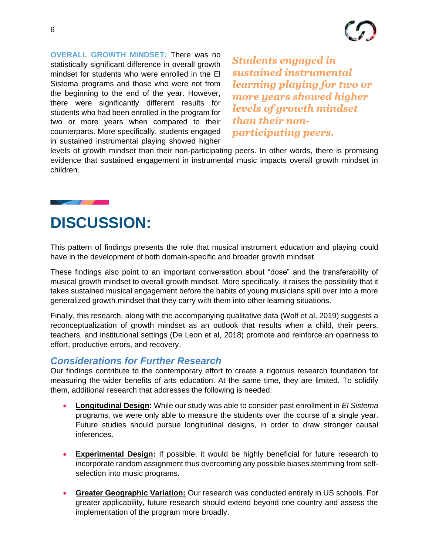**OVERALL GROWTH MINDSET:** There was no statistically significant difference in overall growth mindset for students who were enrolled in the El Sistema programs and those who were not from the beginning to the end of the year. However, there were significantly different results for students who had been enrolled in the program for two or more years when compared to their counterparts. More specifically, students engaged in sustained instrumental playing showed higher

*Students engaged in sustained instrumental learning playing for two or more years showed higher levels of growth mindset than their nonparticipating peers.*

levels of growth mindset than their non-participating peers. In other words, there is promising evidence that sustained engagement in instrumental music impacts overall growth mindset in children.

## **DISCUSSION:**

This pattern of findings presents the role that musical instrument education and playing could have in the development of both domain-specific and broader growth mindset.

These findings also point to an important conversation about "dose" and the transferability of musical growth mindset to overall growth mindset. More specifically, it raises the possibility that it takes sustained musical engagement before the habits of young musicians spill over into a more generalized growth mindset that they carry with them into other learning situations.

Finally, this research, along with the accompanying qualitative data (Wolf et al, 2019) suggests a reconceptualization of growth mindset as an outlook that results when a child, their peers, teachers, and institutional settings (De Leon et al, 2018) promote and reinforce an openness to effort, productive errors, and recovery.

### *Considerations for Further Research*

Our findings contribute to the contemporary effort to create a rigorous research foundation for measuring the wider benefits of arts education. At the same time, they are limited. To solidify them, additional research that addresses the following is needed:

- **Longitudinal Design:** While our study was able to consider past enrollment in *El Sistema* programs, we were only able to measure the students over the course of a single year. Future studies should pursue longitudinal designs, in order to draw stronger causal inferences.
- **Experimental Design:** If possible, it would be highly beneficial for future research to incorporate random assignment thus overcoming any possible biases stemming from selfselection into music programs.
- **Greater Geographic Variation:** Our research was conducted entirely in US schools. For greater applicability, future research should extend beyond one country and assess the implementation of the program more broadly.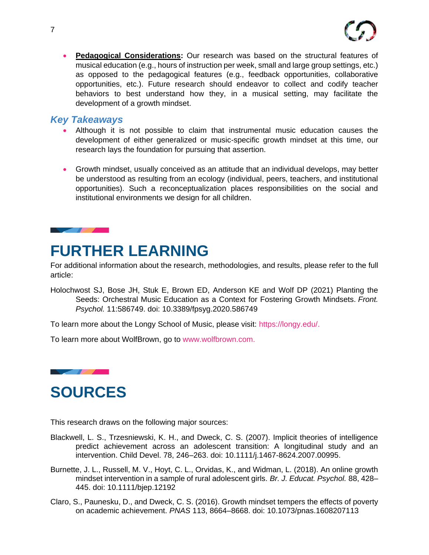

• **Pedagogical Considerations:** Our research was based on the structural features of musical education (e.g., hours of instruction per week, small and large group settings, etc.) as opposed to the pedagogical features (e.g., feedback opportunities, collaborative opportunities, etc.). Future research should endeavor to collect and codify teacher behaviors to best understand how they, in a musical setting, may facilitate the development of a growth mindset.

### *Key Takeaways*

- Although it is not possible to claim that instrumental music education causes the development of either generalized or music-specific growth mindset at this time, our research lays the foundation for pursuing that assertion.
- Growth mindset, usually conceived as an attitude that an individual develops, may better be understood as resulting from an ecology (individual, peers, teachers, and institutional opportunities). Such a reconceptualization places responsibilities on the social and institutional environments we design for all children.

### <u>and the second contract of the second contract of the second contract of the second contract of the second contract of the second contract of the second contract of the second contract of the second contract of the second</u>

## **FURTHER LEARNING**

For additional information about the research, methodologies, and results, please refer to the full article:

Holochwost SJ, Bose JH, Stuk E, Brown ED, Anderson KE and Wolf DP (2021) Planting the Seeds: Orchestral Music Education as a Context for Fostering Growth Mindsets. *Front. Psychol.* 11:586749. doi: 10.3389/fpsyg.2020.586749

To learn more about the Longy School of Music, please visit: [https://longy.edu/.](https://longy.edu/)

To learn more about WolfBrown, go to [www.wolfbrown.com.](http://www.wolfbrown.com/)



## **SOURCES**

This research draws on the following major sources:

- Blackwell, L. S., Trzesniewski, K. H., and Dweck, C. S. (2007). Implicit theories of intelligence predict achievement across an adolescent transition: A longitudinal study and an intervention. Child Devel. 78, 246–263. doi: 10.1111/j.1467-8624.2007.00995.
- Burnette, J. L., Russell, M. V., Hoyt, C. L., Orvidas, K., and Widman, L. (2018). An online growth mindset intervention in a sample of rural adolescent girls. *Br. J. Educat. Psychol.* 88, 428– 445. doi: 10.1111/bjep.12192
- Claro, S., Paunesku, D., and Dweck, C. S. (2016). Growth mindset tempers the effects of poverty on academic achievement. *PNAS* 113, 8664–8668. doi: 10.1073/pnas.1608207113